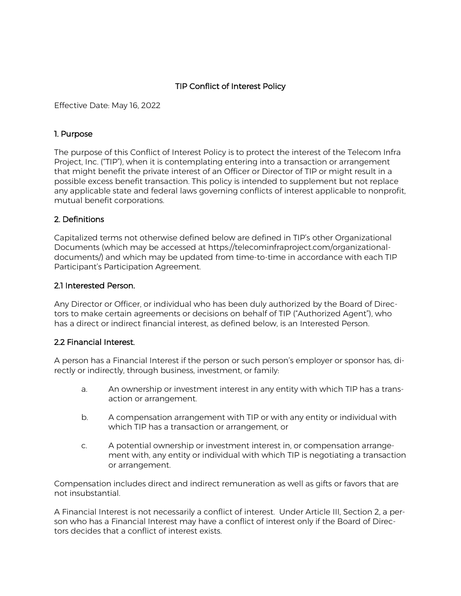# TIP Conflict of Interest Policy

Effective Date: May 16, 2022

#### 1. Purpose

The purpose of this Conflict of Interest Policy is to protect the interest of the Telecom Infra Project, Inc. ("TIP"), when it is contemplating entering into a transaction or arrangement that might benefit the private interest of an Officer or Director of TIP or might result in a possible excess benefit transaction. This policy is intended to supplement but not replace any applicable state and federal laws governing conflicts of interest applicable to nonprofit, mutual benefit corporations.

### 2. Definitions

Capitalized terms not otherwise defined below are defined in TIP's other Organizational Documents (which may be accessed at https://telecominfraproject.com/organizationaldocuments/) and which may be updated from time-to-time in accordance with each TIP Participant's Participation Agreement.

### 2.1 Interested Person.

Any Director or Officer, or individual who has been duly authorized by the Board of Directors to make certain agreements or decisions on behalf of TIP ("Authorized Agent"), who has a direct or indirect financial interest, as defined below, is an Interested Person.

### 2.2 Financial Interest.

A person has a Financial Interest if the person or such person's employer or sponsor has, directly or indirectly, through business, investment, or family:

- a. An ownership or investment interest in any entity with which TIP has a transaction or arrangement.
- b. A compensation arrangement with TIP or with any entity or individual with which TIP has a transaction or arrangement, or
- c. A potential ownership or investment interest in, or compensation arrangement with, any entity or individual with which TIP is negotiating a transaction or arrangement.

Compensation includes direct and indirect remuneration as well as gifts or favors that are not insubstantial.

A Financial Interest is not necessarily a conflict of interest. Under Article III, Section 2, a person who has a Financial Interest may have a conflict of interest only if the Board of Directors decides that a conflict of interest exists.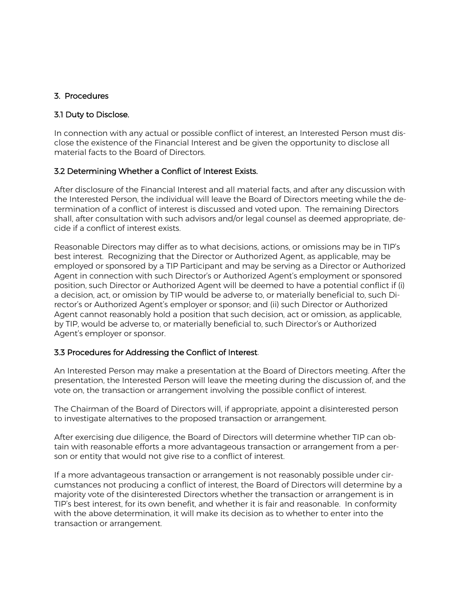### 3. Procedures

### 3.1 Duty to Disclose.

In connection with any actual or possible conflict of interest, an Interested Person must disclose the existence of the Financial Interest and be given the opportunity to disclose all material facts to the Board of Directors.

### 3.2 Determining Whether a Conflict of Interest Exists.

After disclosure of the Financial Interest and all material facts, and after any discussion with the Interested Person, the individual will leave the Board of Directors meeting while the determination of a conflict of interest is discussed and voted upon. The remaining Directors shall, after consultation with such advisors and/or legal counsel as deemed appropriate, decide if a conflict of interest exists.

Reasonable Directors may differ as to what decisions, actions, or omissions may be in TIP's best interest. Recognizing that the Director or Authorized Agent, as applicable, may be employed or sponsored by a TIP Participant and may be serving as a Director or Authorized Agent in connection with such Director's or Authorized Agent's employment or sponsored position, such Director or Authorized Agent will be deemed to have a potential conflict if (i) a decision, act, or omission by TIP would be adverse to, or materially beneficial to, such Director's or Authorized Agent's employer or sponsor; and (ii) such Director or Authorized Agent cannot reasonably hold a position that such decision, act or omission, as applicable, by TIP, would be adverse to, or materially beneficial to, such Director's or Authorized Agent's employer or sponsor.

### 3.3 Procedures for Addressing the Conflict of Interest.

An Interested Person may make a presentation at the Board of Directors meeting. After the presentation, the Interested Person will leave the meeting during the discussion of, and the vote on, the transaction or arrangement involving the possible conflict of interest.

The Chairman of the Board of Directors will, if appropriate, appoint a disinterested person to investigate alternatives to the proposed transaction or arrangement.

After exercising due diligence, the Board of Directors will determine whether TIP can obtain with reasonable efforts a more advantageous transaction or arrangement from a person or entity that would not give rise to a conflict of interest.

If a more advantageous transaction or arrangement is not reasonably possible under circumstances not producing a conflict of interest, the Board of Directors will determine by a majority vote of the disinterested Directors whether the transaction or arrangement is in TIP's best interest, for its own benefit, and whether it is fair and reasonable. In conformity with the above determination, it will make its decision as to whether to enter into the transaction or arrangement.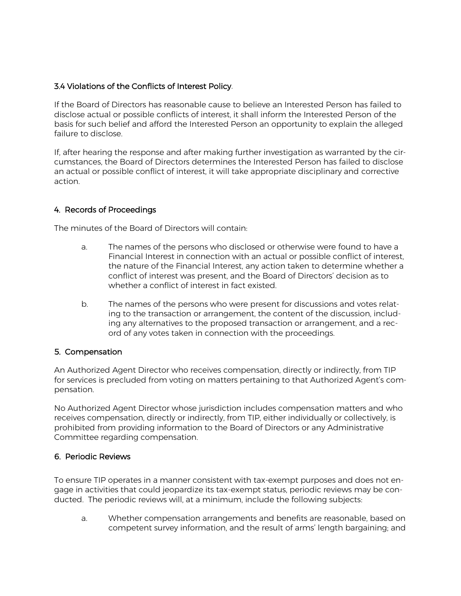### 3.4 Violations of the Conflicts of Interest Policy.

If the Board of Directors has reasonable cause to believe an Interested Person has failed to disclose actual or possible conflicts of interest, it shall inform the Interested Person of the basis for such belief and afford the Interested Person an opportunity to explain the alleged failure to disclose.

If, after hearing the response and after making further investigation as warranted by the circumstances, the Board of Directors determines the Interested Person has failed to disclose an actual or possible conflict of interest, it will take appropriate disciplinary and corrective action.

### 4. Records of Proceedings

The minutes of the Board of Directors will contain:

- a. The names of the persons who disclosed or otherwise were found to have a Financial Interest in connection with an actual or possible conflict of interest, the nature of the Financial Interest, any action taken to determine whether a conflict of interest was present, and the Board of Directors' decision as to whether a conflict of interest in fact existed.
- b. The names of the persons who were present for discussions and votes relating to the transaction or arrangement, the content of the discussion, including any alternatives to the proposed transaction or arrangement, and a record of any votes taken in connection with the proceedings.

### 5. Compensation

An Authorized Agent Director who receives compensation, directly or indirectly, from TIP for services is precluded from voting on matters pertaining to that Authorized Agent's compensation.

No Authorized Agent Director whose jurisdiction includes compensation matters and who receives compensation, directly or indirectly, from TIP, either individually or collectively, is prohibited from providing information to the Board of Directors or any Administrative Committee regarding compensation.

### 6. Periodic Reviews

To ensure TIP operates in a manner consistent with tax-exempt purposes and does not engage in activities that could jeopardize its tax-exempt status, periodic reviews may be conducted. The periodic reviews will, at a minimum, include the following subjects:

a. Whether compensation arrangements and benefits are reasonable, based on competent survey information, and the result of arms' length bargaining; and